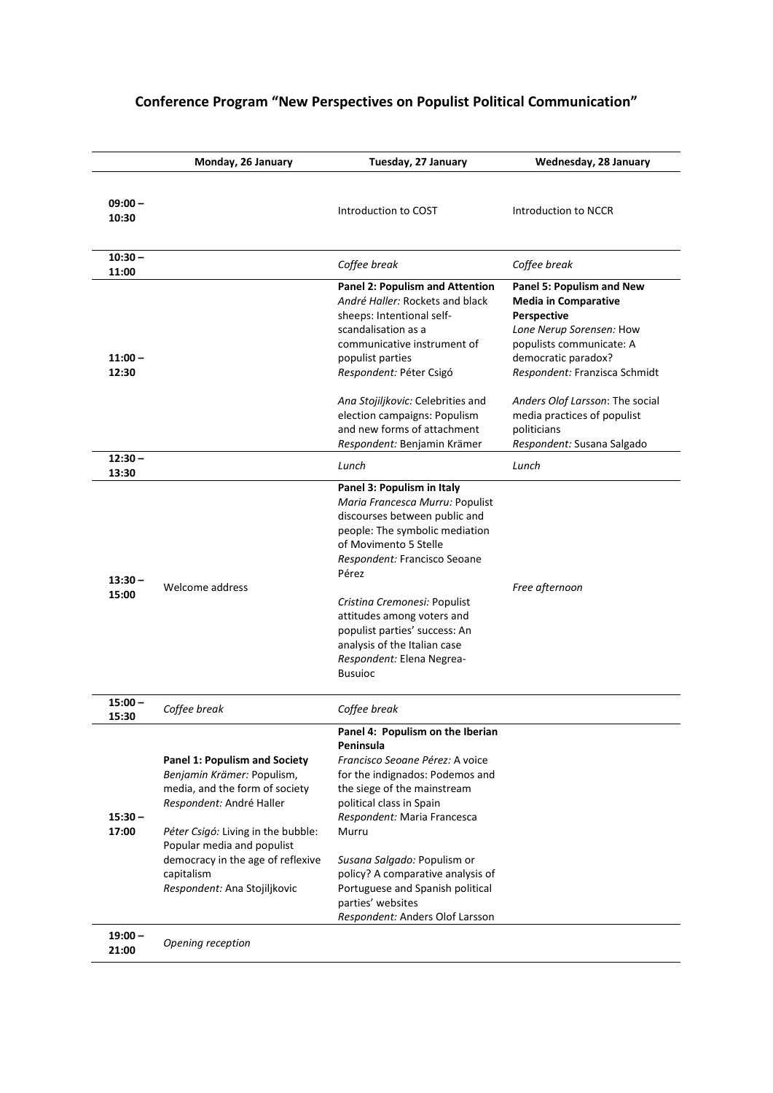|                    | Monday, 26 January                                                                                                                                                                                                                                                                      | Tuesday, 27 January                                                                                                                                                                                                                                                                                                                                                                    | Wednesday, 28 January                                                                                                                                                                   |
|--------------------|-----------------------------------------------------------------------------------------------------------------------------------------------------------------------------------------------------------------------------------------------------------------------------------------|----------------------------------------------------------------------------------------------------------------------------------------------------------------------------------------------------------------------------------------------------------------------------------------------------------------------------------------------------------------------------------------|-----------------------------------------------------------------------------------------------------------------------------------------------------------------------------------------|
| $09:00 -$<br>10:30 |                                                                                                                                                                                                                                                                                         | Introduction to COST                                                                                                                                                                                                                                                                                                                                                                   | Introduction to NCCR                                                                                                                                                                    |
| $10:30 -$<br>11:00 |                                                                                                                                                                                                                                                                                         | Coffee break                                                                                                                                                                                                                                                                                                                                                                           | Coffee break                                                                                                                                                                            |
| $11:00 -$<br>12:30 |                                                                                                                                                                                                                                                                                         | <b>Panel 2: Populism and Attention</b><br>André Haller: Rockets and black<br>sheeps: Intentional self-<br>scandalisation as a<br>communicative instrument of<br>populist parties<br>Respondent: Péter Csigó                                                                                                                                                                            | Panel 5: Populism and New<br><b>Media in Comparative</b><br>Perspective<br>Lone Nerup Sorensen: How<br>populists communicate: A<br>democratic paradox?<br>Respondent: Franzisca Schmidt |
|                    |                                                                                                                                                                                                                                                                                         | Ana Stojiljkovic: Celebrities and<br>election campaigns: Populism<br>and new forms of attachment<br>Respondent: Benjamin Krämer                                                                                                                                                                                                                                                        | Anders Olof Larsson: The social<br>media practices of populist<br>politicians<br>Respondent: Susana Salgado                                                                             |
| $12:30 -$<br>13:30 |                                                                                                                                                                                                                                                                                         | Lunch                                                                                                                                                                                                                                                                                                                                                                                  | Lunch                                                                                                                                                                                   |
| $13:30 -$<br>15:00 | Welcome address                                                                                                                                                                                                                                                                         | Panel 3: Populism in Italy<br>Maria Francesca Murru: Populist<br>discourses between public and<br>people: The symbolic mediation<br>of Movimento 5 Stelle<br>Respondent: Francisco Seoane<br>Pérez<br>Cristina Cremonesi: Populist<br>attitudes among voters and<br>populist parties' success: An<br>analysis of the Italian case<br>Respondent: Elena Negrea-<br><b>Busuioc</b>       | Free afternoon                                                                                                                                                                          |
| $15:00 -$<br>15:30 | Coffee break                                                                                                                                                                                                                                                                            | Coffee break                                                                                                                                                                                                                                                                                                                                                                           |                                                                                                                                                                                         |
| $15:30 -$<br>17:00 | <b>Panel 1: Populism and Society</b><br>Benjamin Krämer: Populism,<br>media, and the form of society<br>Respondent: André Haller<br>Péter Csigó: Living in the bubble:<br>Popular media and populist<br>democracy in the age of reflexive<br>capitalism<br>Respondent: Ana Stojiljkovic | Panel 4: Populism on the Iberian<br>Peninsula<br>Francisco Seoane Pérez: A voice<br>for the indignados: Podemos and<br>the siege of the mainstream<br>political class in Spain<br>Respondent: Maria Francesca<br>Murru<br>Susana Salgado: Populism or<br>policy? A comparative analysis of<br>Portuguese and Spanish political<br>parties' websites<br>Respondent: Anders Olof Larsson |                                                                                                                                                                                         |
| $19:00 -$<br>21:00 | Opening reception                                                                                                                                                                                                                                                                       |                                                                                                                                                                                                                                                                                                                                                                                        |                                                                                                                                                                                         |

## **Conference Program "New Perspectives on Populist Political Communication"**